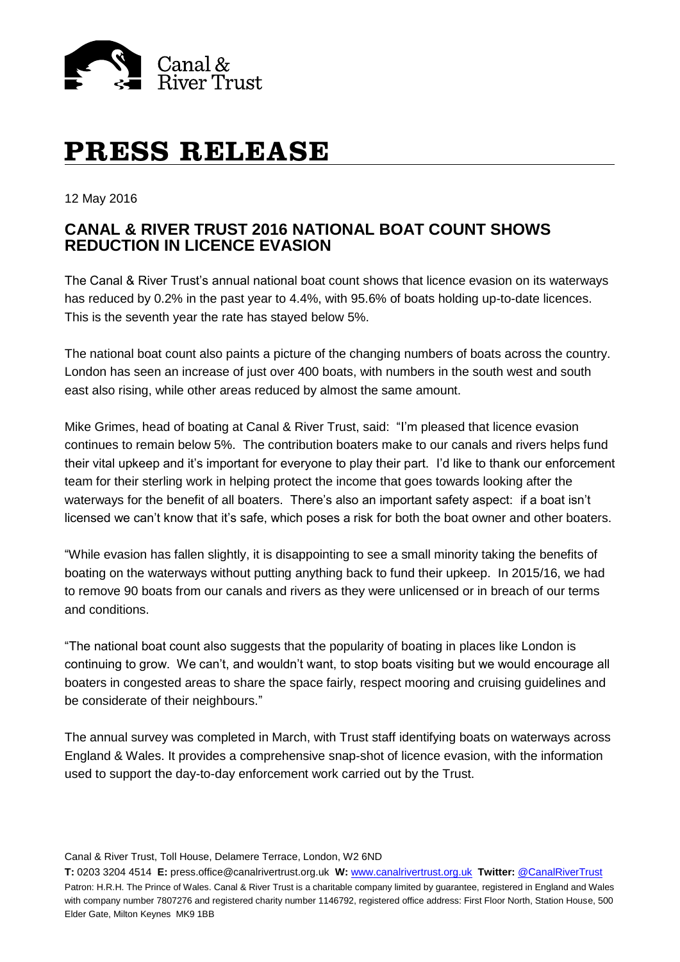

# **PRESS RELEASE**

12 May 2016

## **CANAL & RIVER TRUST 2016 NATIONAL BOAT COUNT SHOWS REDUCTION IN LICENCE EVASION**

The Canal & River Trust's annual national boat count shows that licence evasion on its waterways has reduced by 0.2% in the past year to 4.4%, with 95.6% of boats holding up-to-date licences. This is the seventh year the rate has stayed below 5%.

The national boat count also paints a picture of the changing numbers of boats across the country. London has seen an increase of just over 400 boats, with numbers in the south west and south east also rising, while other areas reduced by almost the same amount.

Mike Grimes, head of boating at Canal & River Trust, said: "I'm pleased that licence evasion continues to remain below 5%. The contribution boaters make to our canals and rivers helps fund their vital upkeep and it's important for everyone to play their part. I'd like to thank our enforcement team for their sterling work in helping protect the income that goes towards looking after the waterways for the benefit of all boaters. There's also an important safety aspect: if a boat isn't licensed we can't know that it's safe, which poses a risk for both the boat owner and other boaters.

"While evasion has fallen slightly, it is disappointing to see a small minority taking the benefits of boating on the waterways without putting anything back to fund their upkeep. In 2015/16, we had to remove 90 boats from our canals and rivers as they were unlicensed or in breach of our terms and conditions.

"The national boat count also suggests that the popularity of boating in places like London is continuing to grow. We can't, and wouldn't want, to stop boats visiting but we would encourage all boaters in congested areas to share the space fairly, respect mooring and cruising guidelines and be considerate of their neighbours."

The annual survey was completed in March, with Trust staff identifying boats on waterways across England & Wales. It provides a comprehensive snap-shot of licence evasion, with the information used to support the day-to-day enforcement work carried out by the Trust.

Canal & River Trust, Toll House, Delamere Terrace, London, W2 6ND

**T:** 0203 3204 4514 **E:** press.office@canalrivertrust.org.uk **W:** [www.canalrivertrust.org.uk](http://www.canalrivertrust.org.uk/) **Twitter:** [@CanalRiverTrust](https://twitter.com/CanalRiverTrust) Patron: H.R.H. The Prince of Wales. Canal & River Trust is a charitable company limited by guarantee, registered in England and Wales with company number 7807276 and registered charity number 1146792, registered office address: First Floor North, Station House, 500 Elder Gate, Milton Keynes MK9 1BB